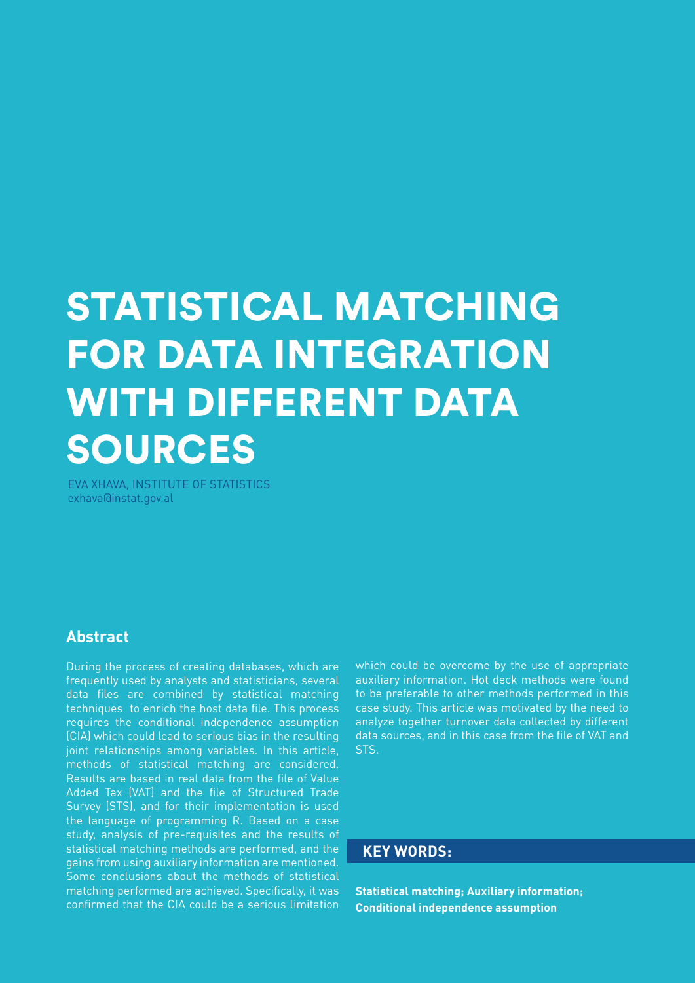# STATISTICAL MATCHING FOR DATA INTEGRATION WITH DIFFERENT DATA SOURCES

EVA XHAVA, INSTITUTE OF STATISTICS exhava@instat.gov.al

## **Abstract**

During the process of creating databases, which are frequently used by analysts and statisticians, several data files are combined by statistical matching techniques to enrich the host data file. This process requires the conditional independence assumption (CIA) which could lead to serious bias in the resulting joint relationships among variables. In this article, methods of statistical matching are considered. Results are based in real data from the file of Value Added Tax (VAT) and the file of Structured Trade Survey (STS), and for their implementation is used the language of programming R. Based on a case study, analysis of pre-requisites and the results of statistical matching methods are performed, and the gains from using auxiliary information are mentioned. Some conclusions about the methods of statistical matching performed are achieved. Specifically, it was confirmed that the CIA could be a serious limitation which could be overcome by the use of appropriate auxiliary information. Hot deck methods were found to be preferable to other methods performed in this case study. This article was motivated by the need to analyze together turnover data collected by different data sources, and in this case from the file of VAT and STS.

### **KEY WORDS:**

**Statistical matching; Auxiliary information; Conditional independence assumption**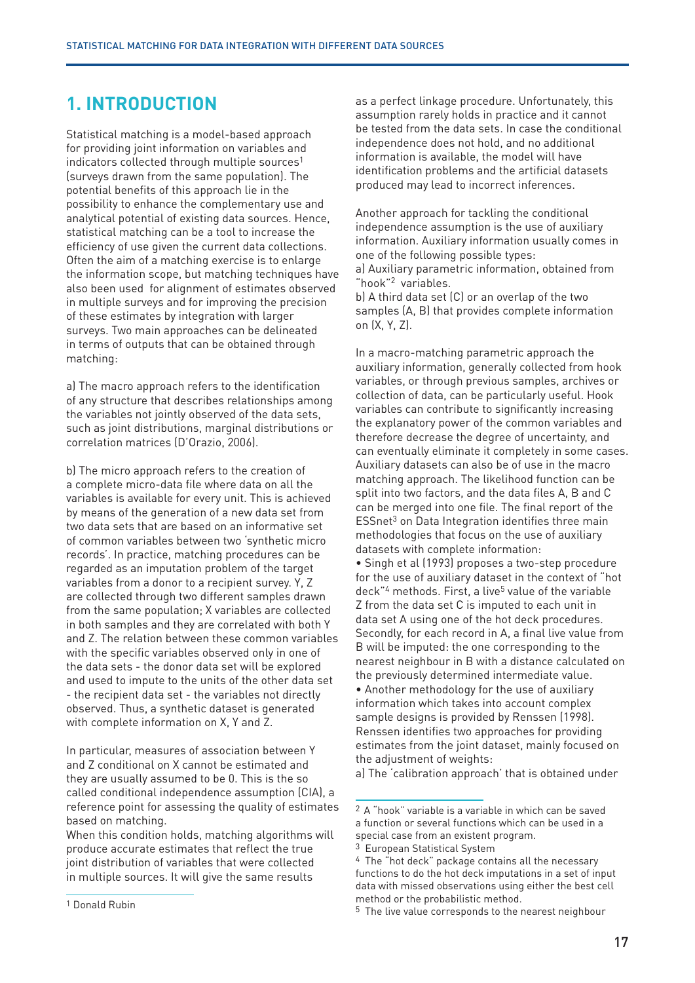# **1. INTRODUCTION**

Statistical matching is a model-based approach for providing joint information on variables and indicators collected through multiple sources<sup>1</sup> (surveys drawn from the same population). The potential benefits of this approach lie in the possibility to enhance the complementary use and analytical potential of existing data sources. Hence, statistical matching can be a tool to increase the efficiency of use given the current data collections. Often the aim of a matching exercise is to enlarge the information scope, but matching techniques have also been used for alignment of estimates observed in multiple surveys and for improving the precision of these estimates by integration with larger surveys. Two main approaches can be delineated in terms of outputs that can be obtained through matching:

a) The macro approach refers to the identification of any structure that describes relationships among the variables not jointly observed of the data sets, such as joint distributions, marginal distributions or correlation matrices (D'Orazio, 2006).

b) The micro approach refers to the creation of a complete micro-data file where data on all the variables is available for every unit. This is achieved by means of the generation of a new data set from two data sets that are based on an informative set of common variables between two 'synthetic micro records'. In practice, matching procedures can be regarded as an imputation problem of the target variables from a donor to a recipient survey. Y, Z are collected through two different samples drawn from the same population; X variables are collected in both samples and they are correlated with both Y and Z. The relation between these common variables with the specific variables observed only in one of the data sets - the donor data set will be explored and used to impute to the units of the other data set - the recipient data set - the variables not directly observed. Thus, a synthetic dataset is generated with complete information on X, Y and Z.

In particular, measures of association between Y and Z conditional on X cannot be estimated and they are usually assumed to be 0. This is the so called conditional independence assumption (CIA), a reference point for assessing the quality of estimates based on matching.

When this condition holds, matching algorithms will produce accurate estimates that reflect the true joint distribution of variables that were collected in multiple sources. It will give the same results

as a perfect linkage procedure. Unfortunately, this assumption rarely holds in practice and it cannot be tested from the data sets. In case the conditional independence does not hold, and no additional information is available, the model will have identification problems and the artificial datasets produced may lead to incorrect inferences.

Another approach for tackling the conditional independence assumption is the use of auxiliary information. Auxiliary information usually comes in one of the following possible types: a) Auxiliary parametric information, obtained from "hook"2 variables.

b) A third data set (C) or an overlap of the two samples (A, B) that provides complete information on (X, Y, Z).

In a macro-matching parametric approach the auxiliary information, generally collected from hook variables, or through previous samples, archives or collection of data, can be particularly useful. Hook variables can contribute to significantly increasing the explanatory power of the common variables and therefore decrease the degree of uncertainty, and can eventually eliminate it completely in some cases. Auxiliary datasets can also be of use in the macro matching approach. The likelihood function can be split into two factors, and the data files A, B and C can be merged into one file. The final report of the ESSnet<sup>3</sup> on Data Integration identifies three main methodologies that focus on the use of auxiliary datasets with complete information:

• Singh et al (1993) proposes a two-step procedure for the use of auxiliary dataset in the context of "hot deck"<sup>4</sup> methods. First, a live<sup>5</sup> value of the variable Z from the data set C is imputed to each unit in data set A using one of the hot deck procedures. Secondly, for each record in A, a final live value from B will be imputed: the one corresponding to the nearest neighbour in B with a distance calculated on the previously determined intermediate value. • Another methodology for the use of auxiliary information which takes into account complex sample designs is provided by Renssen (1998).

Renssen identifies two approaches for providing estimates from the joint dataset, mainly focused on the adjustment of weights:

a) The 'calibration approach' that is obtained under

<sup>1</sup> Donald Rubin

<sup>2</sup> A "hook" variable is a variable in which can be saved a function or several functions which can be used in a special case from an existent program.

<sup>3</sup> European Statistical System

<sup>4</sup> The "hot deck" package contains all the necessary functions to do the hot deck imputations in a set of input data with missed observations using either the best cell method or the probabilistic method.

<sup>5</sup> The live value corresponds to the nearest neighbour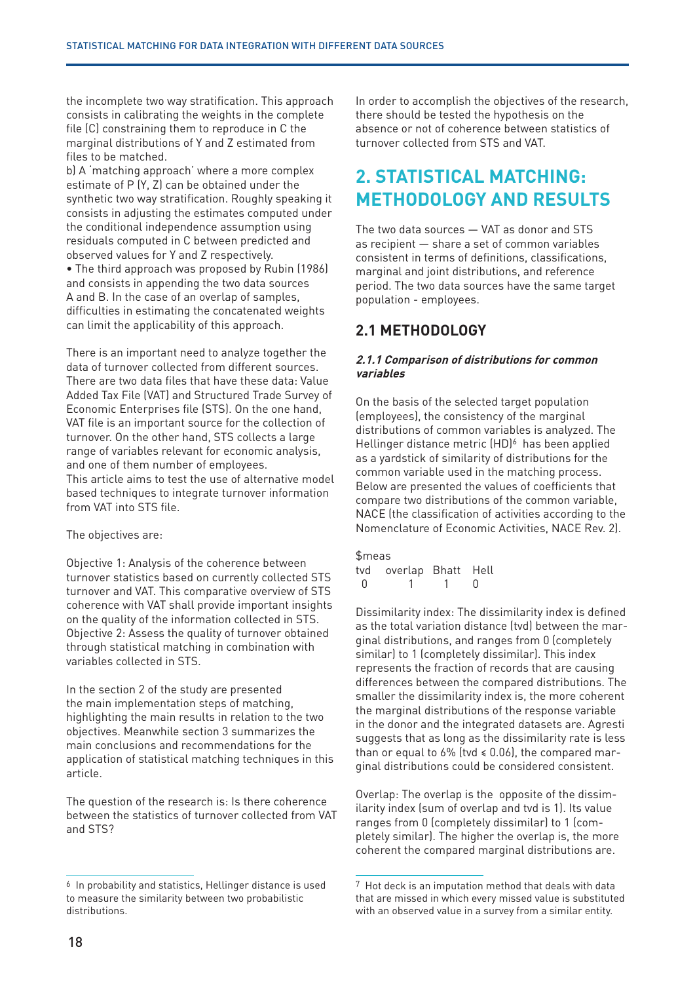the incomplete two way stratification. This approach consists in calibrating the weights in the complete file (C) constraining them to reproduce in C the marginal distributions of Y and Z estimated from files to be matched.

b) A 'matching approach' where a more complex estimate of P (Y, Z) can be obtained under the synthetic two way stratification. Roughly speaking it consists in adjusting the estimates computed under the conditional independence assumption using residuals computed in C between predicted and observed values for Y and Z respectively.

• The third approach was proposed by Rubin (1986) and consists in appending the two data sources A and B. In the case of an overlap of samples, difficulties in estimating the concatenated weights can limit the applicability of this approach.

There is an important need to analyze together the data of turnover collected from different sources. There are two data files that have these data: Value Added Tax File (VAT) and Structured Trade Survey of Economic Enterprises file (STS). On the one hand, VAT file is an important source for the collection of turnover. On the other hand, STS collects a large range of variables relevant for economic analysis, and one of them number of employees. This article aims to test the use of alternative model based techniques to integrate turnover information from VAT into STS file.

The objectives are:

Objective 1: Analysis of the coherence between turnover statistics based on currently collected STS turnover and VAT. This comparative overview of STS coherence with VAT shall provide important insights on the quality of the information collected in STS. Objective 2: Assess the quality of turnover obtained through statistical matching in combination with variables collected in STS.

In the section 2 of the study are presented the main implementation steps of matching, highlighting the main results in relation to the two objectives. Meanwhile section 3 summarizes the main conclusions and recommendations for the application of statistical matching techniques in this article.

The question of the research is: Is there coherence between the statistics of turnover collected from VAT and STS?

In order to accomplish the objectives of the research, there should be tested the hypothesis on the absence or not of coherence between statistics of turnover collected from STS and VAT.

# **2. STATISTICAL MATCHING: METHODOLOGY AND RESULTS**

The two data sources — VAT as donor and STS as recipient — share a set of common variables consistent in terms of definitions, classifications, marginal and joint distributions, and reference period. The two data sources have the same target population - employees.

## **2.1 METHODOLOGY**

#### **2.1.1 Comparison of distributions for common variables**

On the basis of the selected target population (employees), the consistency of the marginal distributions of common variables is analyzed. The Hellinger distance metric  $(HD)^6$  has been applied as a yardstick of similarity of distributions for the common variable used in the matching process. Below are presented the values of coefficients that compare two distributions of the common variable, NACE (the classification of activities according to the Nomenclature of Economic Activities, NACE Rev. 2).

\$meas

|     | tvd overlap Bhatt Hell |        |  |
|-----|------------------------|--------|--|
| - 0 |                        | $\Box$ |  |

Dissimilarity index: The dissimilarity index is defined as the total variation distance (tvd) between the marginal distributions, and ranges from 0 (completely similar) to 1 (completely dissimilar). This index represents the fraction of records that are causing differences between the compared distributions. The smaller the dissimilarity index is, the more coherent the marginal distributions of the response variable in the donor and the integrated datasets are. Agresti suggests that as long as the dissimilarity rate is less than or equal to 6% (tvd  $\leq 0.06$ ), the compared marginal distributions could be considered consistent.

Overlap: The overlap is the opposite of the dissimilarity index (sum of overlap and tvd is 1). Its value ranges from 0 (completely dissimilar) to 1 (completely similar). The higher the overlap is, the more coherent the compared marginal distributions are.

<sup>6</sup> In probability and statistics, Hellinger distance is used to measure the similarity between two probabilistic distributions.

<sup>7</sup> Hot deck is an imputation method that deals with data that are missed in which every missed value is substituted with an observed value in a survey from a similar entity.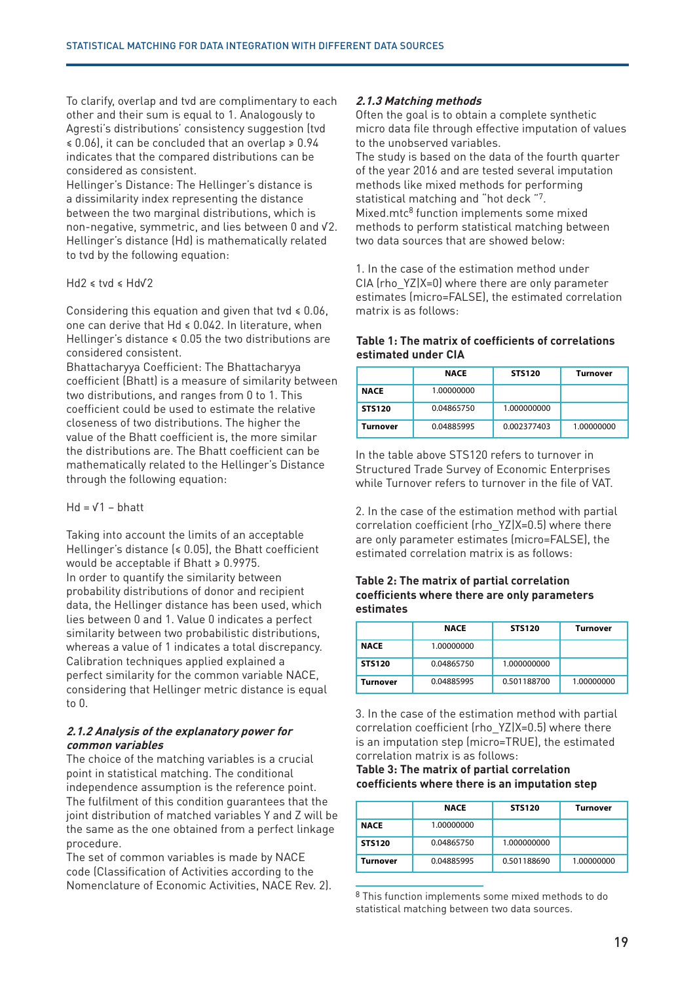To clarify, overlap and tvd are complimentary to each other and their sum is equal to 1. Analogously to Agresti's distributions' consistency suggestion (tvd ≤ 0.06), it can be concluded that an overlap ≥ 0.94 indicates that the compared distributions can be considered as consistent.

Hellinger's Distance: The Hellinger's distance is a dissimilarity index representing the distance between the two marginal distributions, which is non-negative, symmetric, and lies between 0 and √2. Hellinger's distance (Hd) is mathematically related to tvd by the following equation:

#### Hd2 ≤ tvd ≤ Hd√2

Considering this equation and given that tvd  $\leq 0.06$ , one can derive that Hd ≤ 0.042. In literature, when Hellinger's distance ≤ 0.05 the two distributions are considered consistent.

Bhattacharyya Coefficient: The Bhattacharyya coefficient (Bhatt) is a measure of similarity between two distributions, and ranges from 0 to 1. This coefficient could be used to estimate the relative closeness of two distributions. The higher the value of the Bhatt coefficient is, the more similar the distributions are. The Bhatt coefficient can be mathematically related to the Hellinger's Distance through the following equation:

Hd = √1 − bhatt

Taking into account the limits of an acceptable Hellinger's distance (≤ 0.05), the Bhatt coefficient would be acceptable if Bhatt ≥ 0.9975. In order to quantify the similarity between probability distributions of donor and recipient data, the Hellinger distance has been used, which lies between 0 and 1. Value 0 indicates a perfect similarity between two probabilistic distributions, whereas a value of 1 indicates a total discrepancy. Calibration techniques applied explained a perfect similarity for the common variable NACE, considering that Hellinger metric distance is equal to 0.

#### **2.1.2 Analysis of the explanatory power for common variables**

The choice of the matching variables is a crucial point in statistical matching. The conditional independence assumption is the reference point. The fulfilment of this condition guarantees that the joint distribution of matched variables Y and Z will be the same as the one obtained from a perfect linkage procedure.

The set of common variables is made by NACE code (Classification of Activities according to the Nomenclature of Economic Activities, NACE Rev. 2).

#### **2.1.3 Matching methods**

Often the goal is to obtain a complete synthetic micro data file through effective imputation of values to the unobserved variables.

The study is based on the data of the fourth quarter of the year 2016 and are tested several imputation methods like mixed methods for performing statistical matching and "hot deck "7. Mixed.mtc8 function implements some mixed methods to perform statistical matching between two data sources that are showed below:

1. In the case of the estimation method under CIA (rho YZ|X=0) where there are only parameter estimates (micro=FALSE), the estimated correlation matrix is as follows:

#### **Table 1: The matrix of coefficients of correlations estimated under CIA**

|               | <b>NACE</b> | <b>STS120</b> | Turnover   |
|---------------|-------------|---------------|------------|
| <b>NACE</b>   | 1.00000000  |               |            |
| <b>STS120</b> | 0.04865750  | 1.000000000   |            |
| Turnover      | 0.04885995  | 0.002377403   | 1.00000000 |

In the table above STS120 refers to turnover in Structured Trade Survey of Economic Enterprises while Turnover refers to turnover in the file of VAT.

2. In the case of the estimation method with partial correlation coefficient (rho\_YZ|X=0.5) where there are only parameter estimates (micro=FALSE), the estimated correlation matrix is as follows:

#### **Table 2: The matrix of partial correlation coefficients where there are only parameters estimates**

|               | <b>NACE</b> | <b>STS120</b> | Turnover   |
|---------------|-------------|---------------|------------|
| <b>NACE</b>   | 1.00000000  |               |            |
| <b>STS120</b> | 0.04865750  | 1.000000000   |            |
| Turnover      | 0.04885995  | 0.501188700   | 1.00000000 |

3. In the case of the estimation method with partial correlation coefficient (rho\_YZ|X=0.5) where there is an imputation step (micro=TRUE), the estimated correlation matrix is as follows:

#### **Table 3: The matrix of partial correlation coefficients where there is an imputation step**

|               | <b>NACE</b> | <b>STS120</b> | Turnover   |
|---------------|-------------|---------------|------------|
| <b>NACE</b>   | 1.00000000  |               |            |
| <b>STS120</b> | 0.04865750  | 1.000000000   |            |
| Turnover      | 0.04885995  | 0.501188690   | 1.00000000 |

8 This function implements some mixed methods to do statistical matching between two data sources.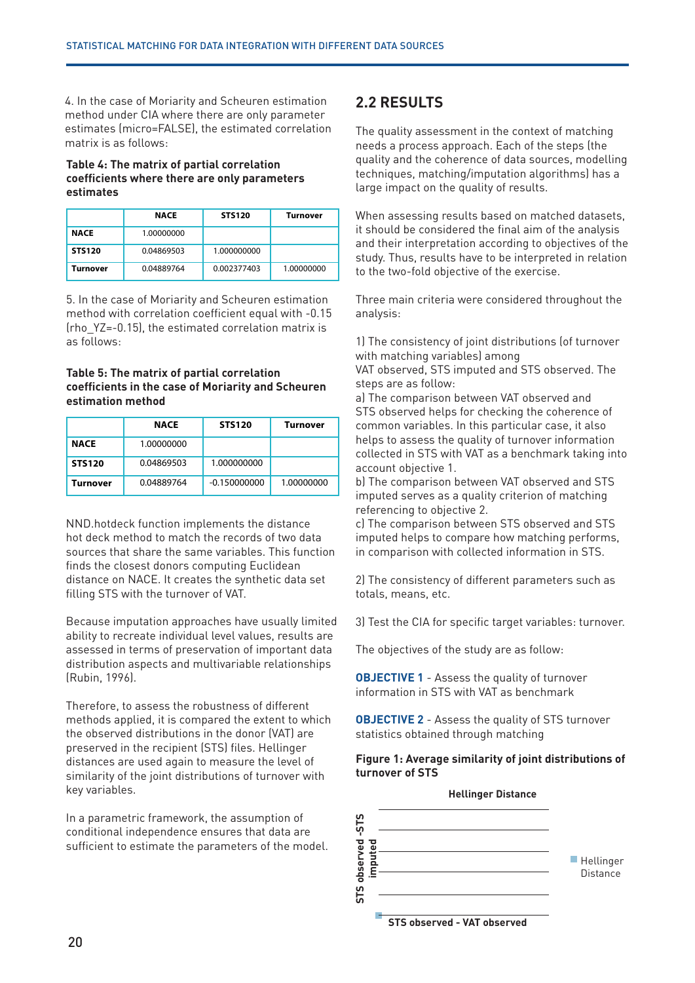4. In the case of Moriarity and Scheuren estimation method under CIA where there are only parameter estimates (micro=FALSE), the estimated correlation matrix is as follows:

#### **Table 4: The matrix of partial correlation coefficients where there are only parameters estimates**

|               | <b>NACE</b> | <b>STS120</b> | Turnover   |
|---------------|-------------|---------------|------------|
| <b>NACE</b>   | 1.00000000  |               |            |
| <b>STS120</b> | 0.04869503  | 1.000000000   |            |
| Turnover      | 0.04889764  | 0.002377403   | 1.00000000 |

5. In the case of Moriarity and Scheuren estimation method with correlation coefficient equal with -0.15 (rho\_YZ=-0.15), the estimated correlation matrix is as follows:

#### **Table 5: The matrix of partial correlation coefficients in the case of Moriarity and Scheuren estimation method**

|               | <b>NACE</b> | <b>STS120</b>  | Turnover   |
|---------------|-------------|----------------|------------|
| <b>NACE</b>   | 1.00000000  |                |            |
| <b>STS120</b> | 0.04869503  | 1.000000000    |            |
| Turnover      | 0.04889764  | $-0.150000000$ | 1.00000000 |

NND.hotdeck function implements the distance hot deck method to match the records of two data sources that share the same variables. This function finds the closest donors computing Euclidean distance on NACE. It creates the synthetic data set filling STS with the turnover of VAT.

Because imputation approaches have usually limited ability to recreate individual level values, results are assessed in terms of preservation of important data distribution aspects and multivariable relationships (Rubin, 1996).

Therefore, to assess the robustness of different methods applied, it is compared the extent to which the observed distributions in the donor (VAT) are preserved in the recipient (STS) files. Hellinger distances are used again to measure the level of similarity of the joint distributions of turnover with key variables.

In a parametric framework, the assumption of conditional independence ensures that data are sufficient to estimate the parameters of the model.

## **2.2 RESULTS**

The quality assessment in the context of matching needs a process approach. Each of the steps (the quality and the coherence of data sources, modelling techniques, matching/imputation algorithms) has a large impact on the quality of results.

When assessing results based on matched datasets, it should be considered the final aim of the analysis and their interpretation according to objectives of the study. Thus, results have to be interpreted in relation to the two-fold objective of the exercise.

Three main criteria were considered throughout the analysis:

1) The consistency of joint distributions (of turnover with matching variables) among

VAT observed, STS imputed and STS observed. The steps are as follow:

a) The comparison between VAT observed and STS observed helps for checking the coherence of common variables. In this particular case, it also helps to assess the quality of turnover information collected in STS with VAT as a benchmark taking into account objective 1.

b) The comparison between VAT observed and STS imputed serves as a quality criterion of matching referencing to objective 2.

c) The comparison between STS observed and STS imputed helps to compare how matching performs, in comparison with collected information in STS.

2) The consistency of different parameters such as totals, means, etc.

3) Test the CIA for specific target variables: turnover.

The objectives of the study are as follow:

**OBJECTIVE 1** - Assess the quality of turnover information in STS with VAT as benchmark

**OBJECTIVE 2** - Assess the quality of STS turnover statistics obtained through matching

#### **Figure 1: Average similarity of joint distributions of turnover of STS**

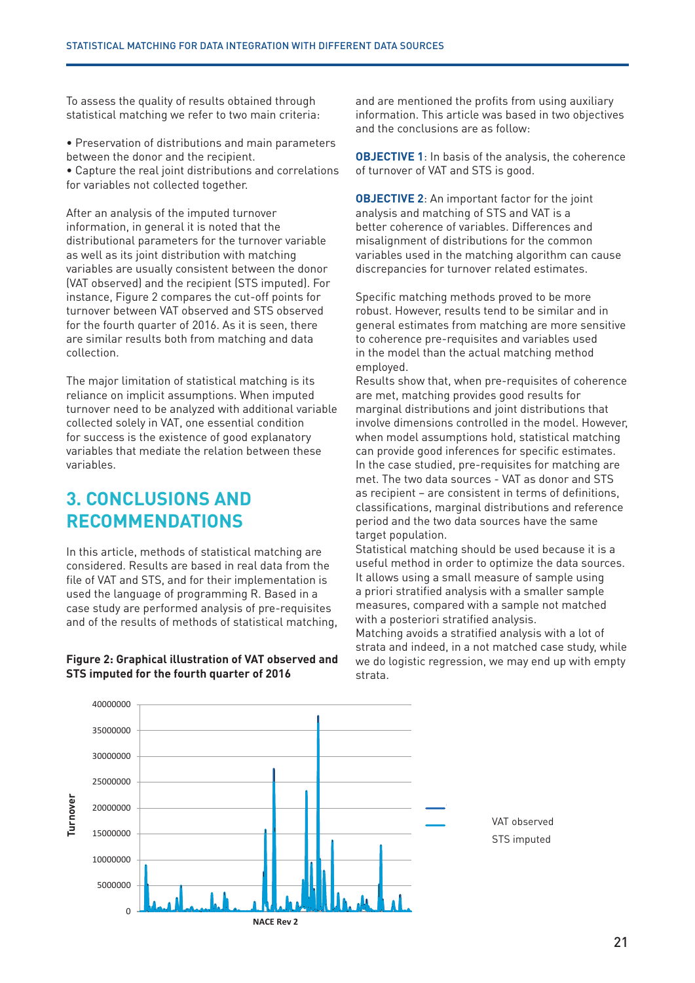To assess the quality of results obtained through statistical matching we refer to two main criteria:

• Preservation of distributions and main parameters between the donor and the recipient.

• Capture the real joint distributions and correlations for variables not collected together.

After an analysis of the imputed turnover information, in general it is noted that the distributional parameters for the turnover variable as well as its joint distribution with matching variables are usually consistent between the donor (VAT observed) and the recipient (STS imputed). For instance, Figure 2 compares the cut-off points for turnover between VAT observed and STS observed for the fourth quarter of 2016. As it is seen, there are similar results both from matching and data collection.

The major limitation of statistical matching is its reliance on implicit assumptions. When imputed turnover need to be analyzed with additional variable collected solely in VAT, one essential condition for success is the existence of good explanatory variables that mediate the relation between these variables.

# **3. CONCLUSIONS AND RECOMMENDATIONS** period and the two data source

In this article, methods of statistical matching are Statistical matching should be considered. Results are based in real data from the ruseful method in order to optir file of VAT and STS, and for their implementation is late the using a small measurement of the share of the sh<br>And the setting and the shitle of a shembull, and the share of the share of the share of the share of the shar used the language of programming R. Based in a case study are performed analysis of pre-requisites measures, compared with a sa and of the results of methods of statistical matching,

strata and mueed, in a not mat<br>**Figure 2: Graphical illustration of VAT observed and** by the dologistic regression, we n **STS imputed for the fourth quarter of 2016** 

and are mentioned the profits from using auxiliary information. This article was based in two objectives and the conclusions are as follow:

**OBJECTIVE 1:** In basis of the analysis, the coherence of turnover of VAT and STS is good.

**OBJECTIVE 2**: An important factor for the joint analysis and matching of STS and VAT is a better coherence of variables. Differences and misalignment of distributions for the common variables used in the matching algorithm can cause discrepancies for turnover related estimates.

Specific matching methods proved to be more robust. However, results tend to be similar and in general estimates from matching are more sensitive to coherence pre-requisites and variables used in the model than the actual matching method employed.

Results show that, when pre-requisites of coherence are met, matching provides good results for marginal distributions and joint distributions that involve dimensions controlled in the model. However, when model assumptions hold, statistical matching can provide good inferences for specific estimates. In the case studied, pre-requisites for matching are met. The two data sources - VAT as donor and STS as recipient – are consistent in terms of definitions, classifications, marginal distributions and reference period and the two data sources have the same target population.

> Statistical matching should be used because it is a useful method in order to optimize the data sources. It allows using a small measure of sample using a priori stratified analysis with a smaller sample measures, compared with a sample not matched with a posteriori stratified analysis.

> Matching avoids a stratified analysis with a lot of strata and indeed, in a not matched case study, while we do logistic regression, we may end up with empty strata.

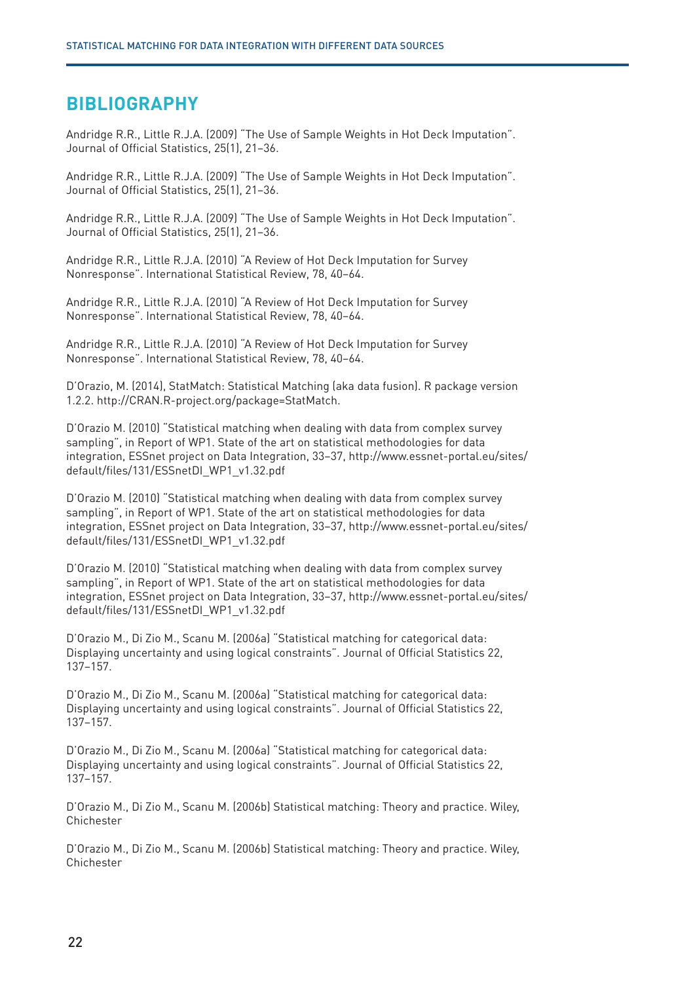## **BIBLIOGRAPHY**

Andridge R.R., Little R.J.A. (2009) "The Use of Sample Weights in Hot Deck Imputation". Journal of Official Statistics, 25(1), 21–36.

Andridge R.R., Little R.J.A. (2009) "The Use of Sample Weights in Hot Deck Imputation". Journal of Official Statistics, 25(1), 21–36.

Andridge R.R., Little R.J.A. (2009) "The Use of Sample Weights in Hot Deck Imputation". Journal of Official Statistics, 25(1), 21–36.

Andridge R.R., Little R.J.A. (2010) "A Review of Hot Deck Imputation for Survey Nonresponse". International Statistical Review, 78, 40–64.

Andridge R.R., Little R.J.A. (2010) "A Review of Hot Deck Imputation for Survey Nonresponse". International Statistical Review, 78, 40–64.

Andridge R.R., Little R.J.A. (2010) "A Review of Hot Deck Imputation for Survey Nonresponse". International Statistical Review, 78, 40–64.

D'Orazio, M. (2014), StatMatch: Statistical Matching (aka data fusion). R package version 1.2.2. http://CRAN.R-project.org/package=StatMatch.

D'Orazio M. (2010) "Statistical matching when dealing with data from complex survey sampling", in Report of WP1. State of the art on statistical methodologies for data integration, ESSnet project on Data Integration, 33–37, http://www.essnet-portal.eu/sites/ default/files/131/ESSnetDI\_WP1\_v1.32.pdf

D'Orazio M. (2010) "Statistical matching when dealing with data from complex survey sampling", in Report of WP1. State of the art on statistical methodologies for data integration, ESSnet project on Data Integration, 33–37, http://www.essnet-portal.eu/sites/ default/files/131/ESSnetDI\_WP1\_v1.32.pdf

D'Orazio M. (2010) "Statistical matching when dealing with data from complex survey sampling", in Report of WP1. State of the art on statistical methodologies for data integration, ESSnet project on Data Integration, 33–37, http://www.essnet-portal.eu/sites/ default/files/131/ESSnetDI\_WP1\_v1.32.pdf

D'Orazio M., Di Zio M., Scanu M. (2006a) "Statistical matching for categorical data: Displaying uncertainty and using logical constraints". Journal of Official Statistics 22, 137–157.

D'Orazio M., Di Zio M., Scanu M. (2006a) "Statistical matching for categorical data: Displaying uncertainty and using logical constraints". Journal of Official Statistics 22, 137–157.

D'Orazio M., Di Zio M., Scanu M. (2006a) "Statistical matching for categorical data: Displaying uncertainty and using logical constraints". Journal of Official Statistics 22, 137–157.

D'Orazio M., Di Zio M., Scanu M. (2006b) Statistical matching: Theory and practice. Wiley, Chichester

D'Orazio M., Di Zio M., Scanu M. (2006b) Statistical matching: Theory and practice. Wiley, Chichester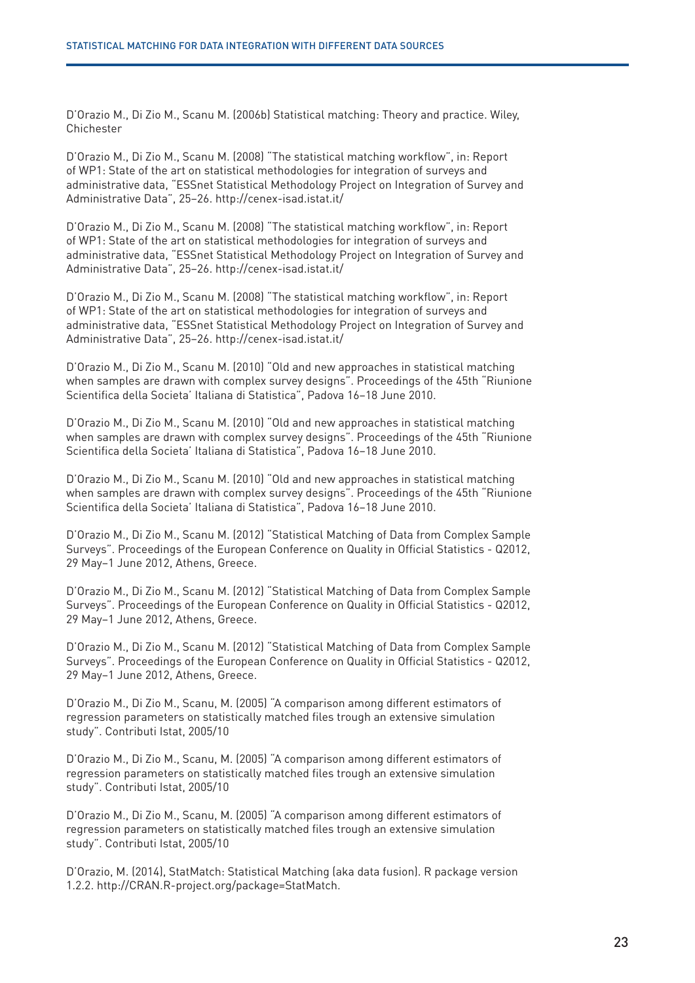D'Orazio M., Di Zio M., Scanu M. (2006b) Statistical matching: Theory and practice. Wiley, Chichester

D'Orazio M., Di Zio M., Scanu M. (2008) "The statistical matching workflow", in: Report of WP1: State of the art on statistical methodologies for integration of surveys and administrative data, "ESSnet Statistical Methodology Project on Integration of Survey and Administrative Data", 25–26. http://cenex-isad.istat.it/

D'Orazio M., Di Zio M., Scanu M. (2008) "The statistical matching workflow", in: Report of WP1: State of the art on statistical methodologies for integration of surveys and administrative data, "ESSnet Statistical Methodology Project on Integration of Survey and Administrative Data", 25–26. http://cenex-isad.istat.it/

D'Orazio M., Di Zio M., Scanu M. (2008) "The statistical matching workflow", in: Report of WP1: State of the art on statistical methodologies for integration of surveys and administrative data, "ESSnet Statistical Methodology Project on Integration of Survey and Administrative Data", 25–26. http://cenex-isad.istat.it/

D'Orazio M., Di Zio M., Scanu M. (2010) "Old and new approaches in statistical matching when samples are drawn with complex survey designs". Proceedings of the 45th "Riunione Scientifica della Societa' Italiana di Statistica", Padova 16–18 June 2010.

D'Orazio M., Di Zio M., Scanu M. (2010) "Old and new approaches in statistical matching when samples are drawn with complex survey designs". Proceedings of the 45th "Riunione Scientifica della Societa' Italiana di Statistica", Padova 16–18 June 2010.

D'Orazio M., Di Zio M., Scanu M. (2010) "Old and new approaches in statistical matching when samples are drawn with complex survey designs". Proceedings of the 45th "Riunione Scientifica della Societa' Italiana di Statistica", Padova 16–18 June 2010.

D'Orazio M., Di Zio M., Scanu M. (2012) "Statistical Matching of Data from Complex Sample Surveys". Proceedings of the European Conference on Quality in Official Statistics - Q2012, 29 May–1 June 2012, Athens, Greece.

D'Orazio M., Di Zio M., Scanu M. (2012) "Statistical Matching of Data from Complex Sample Surveys". Proceedings of the European Conference on Quality in Official Statistics - Q2012, 29 May–1 June 2012, Athens, Greece.

D'Orazio M., Di Zio M., Scanu M. (2012) "Statistical Matching of Data from Complex Sample Surveys". Proceedings of the European Conference on Quality in Official Statistics - Q2012, 29 May–1 June 2012, Athens, Greece.

D'Orazio M., Di Zio M., Scanu, M. (2005) "A comparison among different estimators of regression parameters on statistically matched files trough an extensive simulation study". Contributi Istat, 2005/10

D'Orazio M., Di Zio M., Scanu, M. (2005) "A comparison among different estimators of regression parameters on statistically matched files trough an extensive simulation study". Contributi Istat, 2005/10

D'Orazio M., Di Zio M., Scanu, M. (2005) "A comparison among different estimators of regression parameters on statistically matched files trough an extensive simulation study". Contributi Istat, 2005/10

D'Orazio, M. (2014), StatMatch: Statistical Matching (aka data fusion). R package version 1.2.2. http://CRAN.R-project.org/package=StatMatch.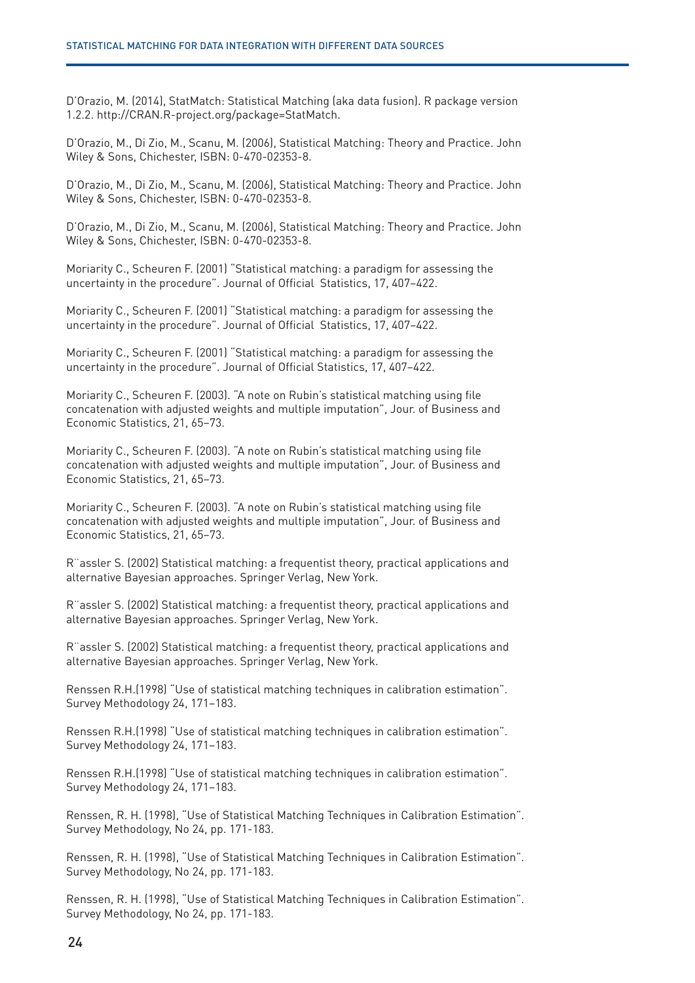D'Orazio, M. (2014), StatMatch: Statistical Matching (aka data fusion). R package version 1.2.2. http://CRAN.R-project.org/package=StatMatch.

D'Orazio, M., Di Zio, M., Scanu, M. (2006), Statistical Matching: Theory and Practice. John Wiley & Sons, Chichester, ISBN: 0-470-02353-8.

D'Orazio, M., Di Zio, M., Scanu, M. (2006), Statistical Matching: Theory and Practice. John Wiley & Sons, Chichester, ISBN: 0-470-02353-8.

D'Orazio, M., Di Zio, M., Scanu, M. (2006), Statistical Matching: Theory and Practice. John Wiley & Sons, Chichester, ISBN: 0-470-02353-8.

Moriarity C., Scheuren F. (2001) "Statistical matching: a paradigm for assessing the uncertainty in the procedure". Journal of Official Statistics, 17, 407–422.

Moriarity C., Scheuren F. (2001) "Statistical matching: a paradigm for assessing the uncertainty in the procedure". Journal of Official Statistics, 17, 407–422.

Moriarity C., Scheuren F. (2001) "Statistical matching: a paradigm for assessing the uncertainty in the procedure". Journal of Official Statistics, 17, 407–422.

Moriarity C., Scheuren F. (2003). "A note on Rubin's statistical matching using file concatenation with adjusted weights and multiple imputation", Jour. of Business and Economic Statistics, 21, 65–73.

Moriarity C., Scheuren F. (2003). "A note on Rubin's statistical matching using file concatenation with adjusted weights and multiple imputation", Jour. of Business and Economic Statistics, 21, 65–73.

Moriarity C., Scheuren F. (2003). "A note on Rubin's statistical matching using file concatenation with adjusted weights and multiple imputation", Jour. of Business and Economic Statistics, 21, 65–73.

R¨assler S. (2002) Statistical matching: a frequentist theory, practical applications and alternative Bayesian approaches. Springer Verlag, New York.

R¨assler S. (2002) Statistical matching: a frequentist theory, practical applications and alternative Bayesian approaches. Springer Verlag, New York.

R¨assler S. (2002) Statistical matching: a frequentist theory, practical applications and alternative Bayesian approaches. Springer Verlag, New York.

Renssen R.H.(1998) "Use of statistical matching techniques in calibration estimation". Survey Methodology 24, 171–183.

Renssen R.H.(1998) "Use of statistical matching techniques in calibration estimation". Survey Methodology 24, 171–183.

Renssen R.H.(1998) "Use of statistical matching techniques in calibration estimation". Survey Methodology 24, 171–183.

Renssen, R. H. (1998), "Use of Statistical Matching Techniques in Calibration Estimation". Survey Methodology, No 24, pp. 171-183.

Renssen, R. H. (1998), "Use of Statistical Matching Techniques in Calibration Estimation". Survey Methodology, No 24, pp. 171-183.

Renssen, R. H. (1998), "Use of Statistical Matching Techniques in Calibration Estimation". Survey Methodology, No 24, pp. 171-183.